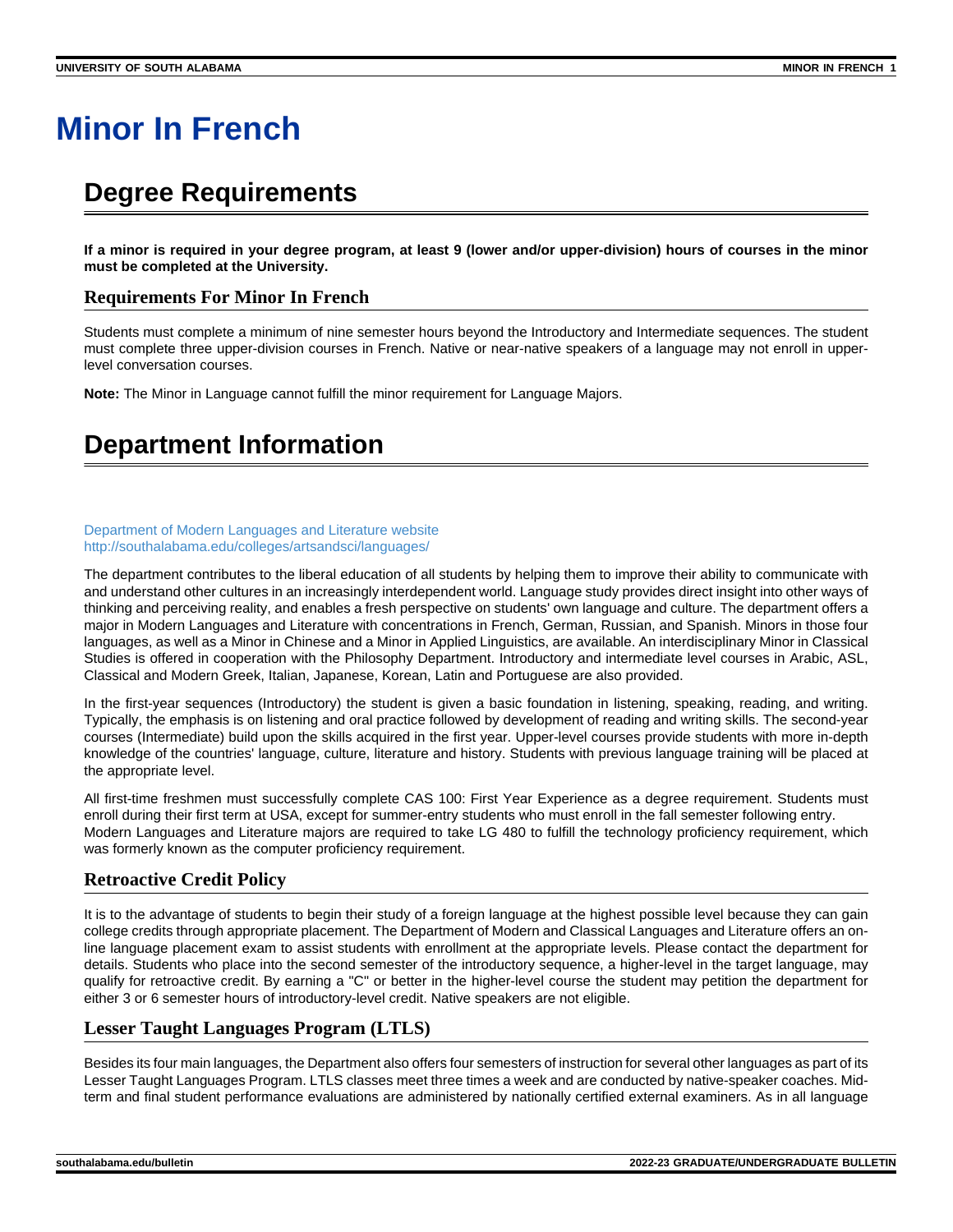# **Minor In French**

# **Degree Requirements**

**If a minor is required in your degree program, at least 9 (lower and/or upper-division) hours of courses in the minor must be completed at the University.**

### **Requirements For Minor In French**

Students must complete a minimum of nine semester hours beyond the Introductory and Intermediate sequences. The student must complete three upper-division courses in French. Native or near-native speakers of a language may not enroll in upperlevel conversation courses.

**Note:** The Minor in Language cannot fulfill the minor requirement for Language Majors.

# **Department Information**

#### [Department of Modern Languages and Literature website](http://southalabama.edu/colleges/artsandsci/languages/) <http://southalabama.edu/colleges/artsandsci/languages/>

The department contributes to the liberal education of all students by helping them to improve their ability to communicate with and understand other cultures in an increasingly interdependent world. Language study provides direct insight into other ways of thinking and perceiving reality, and enables a fresh perspective on students' own language and culture. The department offers a major in Modern Languages and Literature with concentrations in French, German, Russian, and Spanish. Minors in those four languages, as well as a Minor in Chinese and a Minor in Applied Linguistics, are available. An interdisciplinary Minor in Classical Studies is offered in cooperation with the Philosophy Department. Introductory and intermediate level courses in Arabic, ASL, Classical and Modern Greek, Italian, Japanese, Korean, Latin and Portuguese are also provided.

In the first-year sequences (Introductory) the student is given a basic foundation in listening, speaking, reading, and writing. Typically, the emphasis is on listening and oral practice followed by development of reading and writing skills. The second-year courses (Intermediate) build upon the skills acquired in the first year. Upper-level courses provide students with more in-depth knowledge of the countries' language, culture, literature and history. Students with previous language training will be placed at the appropriate level.

All first-time freshmen must successfully complete CAS 100: First Year Experience as a degree requirement. Students must enroll during their first term at USA, except for summer-entry students who must enroll in the fall semester following entry. Modern Languages and Literature majors are required to take LG 480 to fulfill the technology proficiency requirement, which was formerly known as the computer proficiency requirement.

# **Retroactive Credit Policy**

It is to the advantage of students to begin their study of a foreign language at the highest possible level because they can gain college credits through appropriate placement. The Department of Modern and Classical Languages and Literature offers an online language placement exam to assist students with enrollment at the appropriate levels. Please contact the department for details. Students who place into the second semester of the introductory sequence, a higher-level in the target language, may qualify for retroactive credit. By earning a "C" or better in the higher-level course the student may petition the department for either 3 or 6 semester hours of introductory-level credit. Native speakers are not eligible.

### **Lesser Taught Languages Program (LTLS)**

Besides its four main languages, the Department also offers four semesters of instruction for several other languages as part of its Lesser Taught Languages Program. LTLS classes meet three times a week and are conducted by native-speaker coaches. Midterm and final student performance evaluations are administered by nationally certified external examiners. As in all language